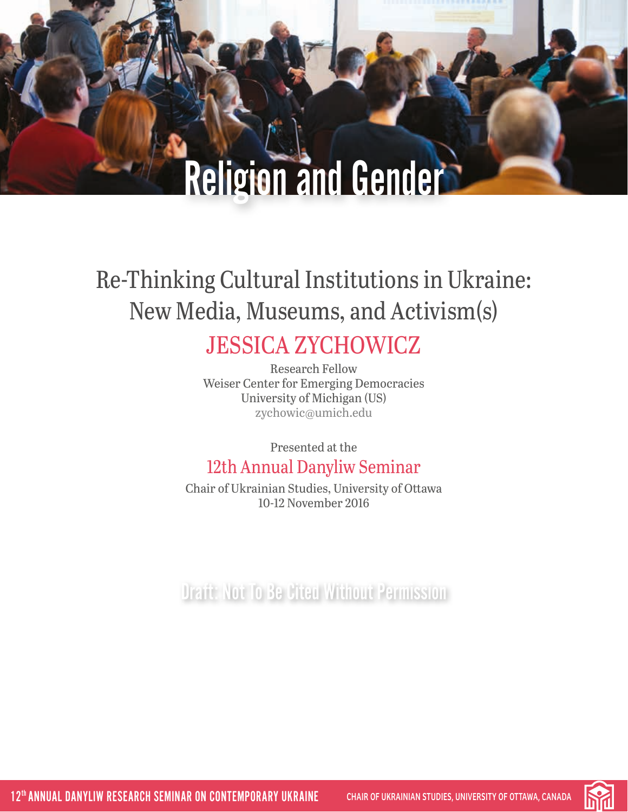# Religion and Gender

## Re-Thinking Cultural Institutions in Ukraine: New Media, Museums, and Activism(s)

#### JESSICA ZYCHOWICZ Research Fellow

Weiser Center for Emerging Democracies University of Michigan (US) [zychowic@umich.edu](mailto:zychowic%40umich.edu?subject=)

Presented at the

#### 12th Annual Danyliw Seminar

Chair of Ukrainian Studies, University of Ottawa 10-12 November 2016

Draft: Not To Be Cited Without Permission

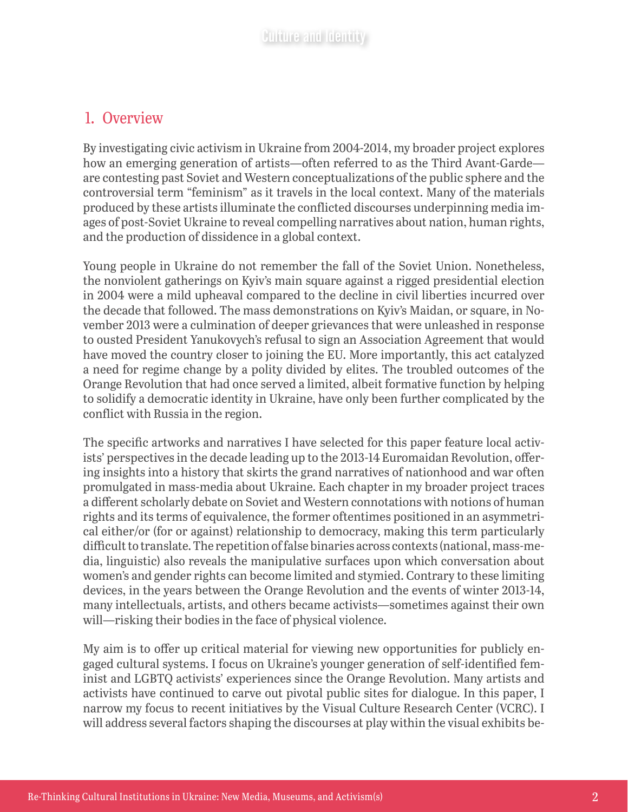#### 1. Overview

By investigating civic activism in Ukraine from 2004-2014, my broader project explores how an emerging generation of artists—often referred to as the Third Avant-Garde are contesting past Soviet and Western conceptualizations of the public sphere and the controversial term "feminism" as it travels in the local context. Many of the materials produced by these artists illuminate the conflicted discourses underpinning media images of post-Soviet Ukraine to reveal compelling narratives about nation, human rights, and the production of dissidence in a global context.

Young people in Ukraine do not remember the fall of the Soviet Union. Nonetheless, the nonviolent gatherings on Kyiv's main square against a rigged presidential election in 2004 were a mild upheaval compared to the decline in civil liberties incurred over the decade that followed. The mass demonstrations on Kyiv's Maidan, or square, in November 2013 were a culmination of deeper grievances that were unleashed in response to ousted President Yanukovych's refusal to sign an Association Agreement that would have moved the country closer to joining the EU. More importantly, this act catalyzed a need for regime change by a polity divided by elites. The troubled outcomes of the Orange Revolution that had once served a limited, albeit formative function by helping to solidify a democratic identity in Ukraine, have only been further complicated by the conflict with Russia in the region.

The specific artworks and narratives I have selected for this paper feature local activists' perspectives in the decade leading up to the 2013-14 Euromaidan Revolution, offering insights into a history that skirts the grand narratives of nationhood and war often promulgated in mass-media about Ukraine. Each chapter in my broader project traces a different scholarly debate on Soviet and Western connotations with notions of human rights and its terms of equivalence, the former oftentimes positioned in an asymmetrical either/or (for or against) relationship to democracy, making this term particularly difficult to translate. The repetition of false binaries across contexts (national, mass-media, linguistic) also reveals the manipulative surfaces upon which conversation about women's and gender rights can become limited and stymied. Contrary to these limiting devices, in the years between the Orange Revolution and the events of winter 2013-14, many intellectuals, artists, and others became activists—sometimes against their own will—risking their bodies in the face of physical violence.

My aim is to offer up critical material for viewing new opportunities for publicly engaged cultural systems. I focus on Ukraine's younger generation of self-identified feminist and LGBTQ activists' experiences since the Orange Revolution. Many artists and activists have continued to carve out pivotal public sites for dialogue. In this paper, I narrow my focus to recent initiatives by the Visual Culture Research Center (VCRC). I will address several factors shaping the discourses at play within the visual exhibits be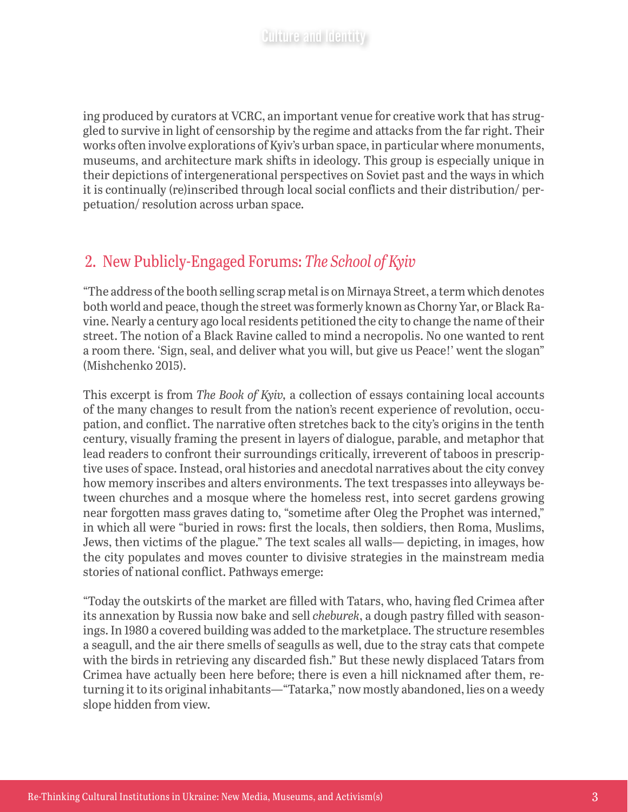ing produced by curators at VCRC, an important venue for creative work that has struggled to survive in light of censorship by the regime and attacks from the far right. Their works often involve explorations of Kyiv's urban space, in particular where monuments, museums, and architecture mark shifts in ideology. This group is especially unique in their depictions of intergenerational perspectives on Soviet past and the ways in which it is continually (re)inscribed through local social conflicts and their distribution/ perpetuation/ resolution across urban space.

#### 2. New Publicly-Engaged Forums: *The School of Kyiv*

"The address of the booth selling scrap metal is on Mirnaya Street, a term which denotes both world and peace, though the street was formerly known as Chorny Yar, or Black Ravine. Nearly a century ago local residents petitioned the city to change the name of their street. The notion of a Black Ravine called to mind a necropolis. No one wanted to rent a room there. 'Sign, seal, and deliver what you will, but give us Peace!' went the slogan" (Mishchenko 2015).

This excerpt is from *The Book of Kyiv,* a collection of essays containing local accounts of the many changes to result from the nation's recent experience of revolution, occupation, and conflict. The narrative often stretches back to the city's origins in the tenth century, visually framing the present in layers of dialogue, parable, and metaphor that lead readers to confront their surroundings critically, irreverent of taboos in prescriptive uses of space. Instead, oral histories and anecdotal narratives about the city convey how memory inscribes and alters environments. The text trespasses into alleyways between churches and a mosque where the homeless rest, into secret gardens growing near forgotten mass graves dating to, "sometime after Oleg the Prophet was interned," in which all were "buried in rows: first the locals, then soldiers, then Roma, Muslims, Jews, then victims of the plague." The text scales all walls— depicting, in images, how the city populates and moves counter to divisive strategies in the mainstream media stories of national conflict. Pathways emerge:

"Today the outskirts of the market are filled with Tatars, who, having fled Crimea after its annexation by Russia now bake and sell *cheburek*, a dough pastry filled with seasonings. In 1980 a covered building was added to the marketplace. The structure resembles a seagull, and the air there smells of seagulls as well, due to the stray cats that compete with the birds in retrieving any discarded fish." But these newly displaced Tatars from Crimea have actually been here before; there is even a hill nicknamed after them, returning it to its original inhabitants—"Tatarka," now mostly abandoned, lies on a weedy slope hidden from view.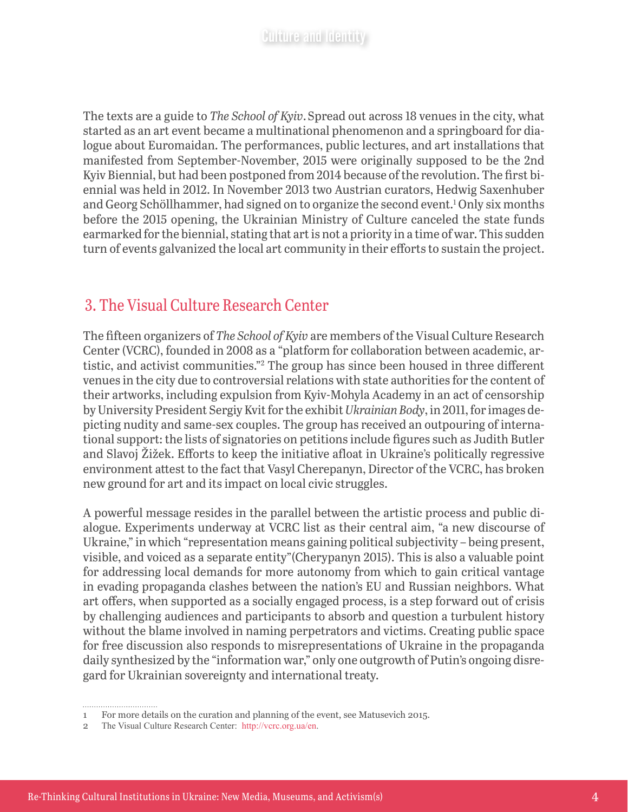The texts are a guide to *The School of Kyiv*.Spread out across 18 venues in the city, what started as an art event became a multinational phenomenon and a springboard for dialogue about Euromaidan. The performances, public lectures, and art installations that manifested from September-November, 2015 were originally supposed to be the 2nd Kyiv Biennial, but had been postponed from 2014 because of the revolution. The first biennial was held in 2012. In November 2013 two Austrian curators, Hedwig Saxenhuber and Georg Schöllhammer, had signed on to organize the second event.1 Only six months before the 2015 opening, the Ukrainian Ministry of Culture canceled the state funds earmarked for the biennial, stating that art is not a priority in a time of war. This sudden turn of events galvanized the local art community in their efforts to sustain the project.

#### 3. The Visual Culture Research Center

The fifteen organizers of *The School of Kyiv* are members of the Visual Culture Research Center (VCRC), founded in 2008 as a "platform for collaboration between academic, artistic, and activist communities."2 The group has since been housed in three different venues in the city due to controversial relations with state authorities for the content of their artworks, including expulsion from Kyiv-Mohyla Academy in an act of censorship by University President Sergiy Kvit for the exhibit *Ukrainian Body*, in 2011, for images depicting nudity and same-sex couples. The group has received an outpouring of international support: the lists of signatories on petitions include figures such as Judith Butler and Slavoj Žižek. Efforts to keep the initiative afloat in Ukraine's politically regressive environment attest to the fact that Vasyl Cherepanyn, Director of the VCRC, has broken new ground for art and its impact on local civic struggles.

A powerful message resides in the parallel between the artistic process and public dialogue. Experiments underway at VCRC list as their central aim, "a new discourse of Ukraine," in which "representation means gaining political subjectivity – being present, visible, and voiced as a separate entity"(Cherypanyn 2015). This is also a valuable point for addressing local demands for more autonomy from which to gain critical vantage in evading propaganda clashes between the nation's EU and Russian neighbors. What art offers, when supported as a socially engaged process, is a step forward out of crisis by challenging audiences and participants to absorb and question a turbulent history without the blame involved in naming perpetrators and victims. Creating public space for free discussion also responds to misrepresentations of Ukraine in the propaganda daily synthesized by the "information war," only one outgrowth of Putin's ongoing disregard for Ukrainian sovereignty and international treaty.

<sup>1</sup> For more details on the curation and planning of the event, see Matusevich 2015.

<sup>2</sup> The Visual Culture Research Center: [http://vcrc.org.ua/en.](http://vcrc.org.ua/en)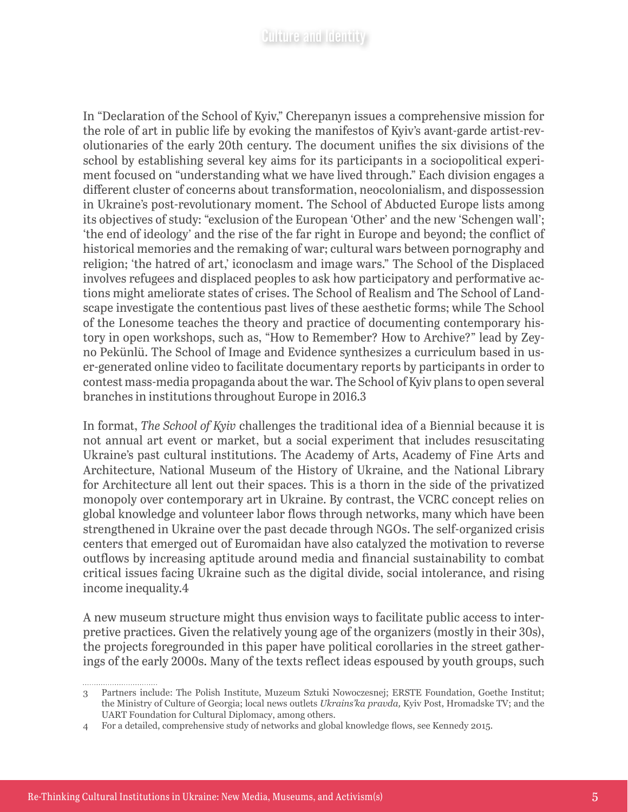In "Declaration of the School of Kyiv," Cherepanyn issues a comprehensive mission for the role of art in public life by evoking the manifestos of Kyiv's avant-garde artist-revolutionaries of the early 20th century. The document unifies the six divisions of the school by establishing several key aims for its participants in a sociopolitical experiment focused on "understanding what we have lived through." Each division engages a different cluster of concerns about transformation, neocolonialism, and dispossession in Ukraine's post-revolutionary moment. The School of Abducted Europe lists among its objectives of study: "exclusion of the European 'Other' and the new 'Schengen wall'; 'the end of ideology' and the rise of the far right in Europe and beyond; the conflict of historical memories and the remaking of war; cultural wars between pornography and religion; 'the hatred of art,' iconoclasm and image wars." The School of the Displaced involves refugees and displaced peoples to ask how participatory and performative actions might ameliorate states of crises. The School of Realism and The School of Landscape investigate the contentious past lives of these aesthetic forms; while The School of the Lonesome teaches the theory and practice of documenting contemporary history in open workshops, such as, "How to Remember? How to Archive?" lead by Zeyno Pekünlü. The School of Image and Evidence synthesizes a curriculum based in user-generated online video to facilitate documentary reports by participants in order to contest mass-media propaganda about the war. The School of Kyiv plans to open several branches in institutions throughout Europe in 2016.3

In format, *The School of Kyiv* challenges the traditional idea of a Biennial because it is not annual art event or market, but a social experiment that includes resuscitating Ukraine's past cultural institutions. The Academy of Arts, Academy of Fine Arts and Architecture, National Museum of the History of Ukraine, and the National Library for Architecture all lent out their spaces. This is a thorn in the side of the privatized monopoly over contemporary art in Ukraine. By contrast, the VCRC concept relies on global knowledge and volunteer labor flows through networks, many which have been strengthened in Ukraine over the past decade through NGOs. The self-organized crisis centers that emerged out of Euromaidan have also catalyzed the motivation to reverse outflows by increasing aptitude around media and financial sustainability to combat critical issues facing Ukraine such as the digital divide, social intolerance, and rising income inequality.4

A new museum structure might thus envision ways to facilitate public access to interpretive practices. Given the relatively young age of the organizers (mostly in their 30s), the projects foregrounded in this paper have political corollaries in the street gatherings of the early 2000s. Many of the texts reflect ideas espoused by youth groups, such

<sup>3</sup> Partners include: The Polish Institute, Muzeum Sztuki Nowoczesnej; ERSTE Foundation, Goethe Institut; the Ministry of Culture of Georgia; local news outlets *Ukrains'ka pravda,* Kyiv Post, Hromadske TV; and the UART Foundation for Cultural Diplomacy, among others.

<sup>4</sup> For a detailed, comprehensive study of networks and global knowledge flows, see Kennedy 2015.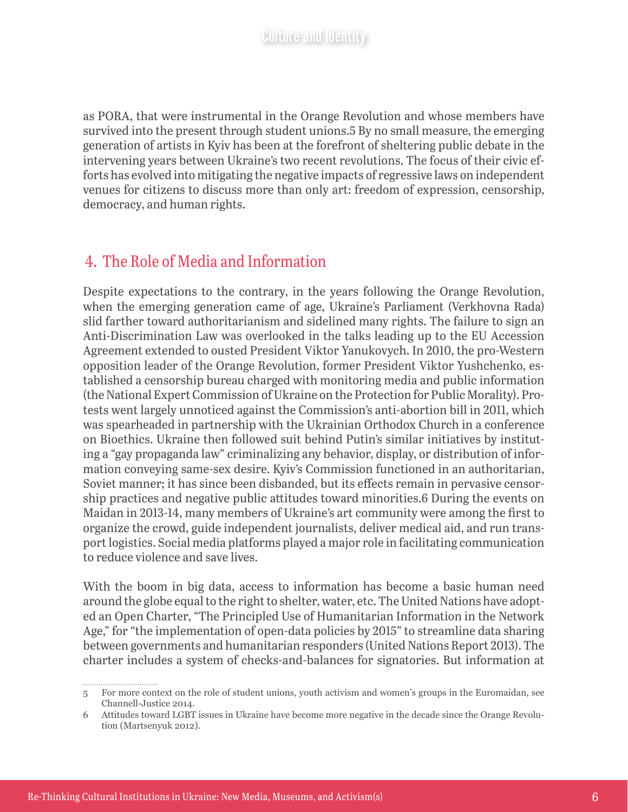as PORA, that were instrumental in the Orange Revolution and whose members have survived into the present through student unions.5 By no small measure, the emerging generation of artists in Kyiv has been at the forefront of sheltering public debate in the intervening years between Ukraine's two recent revolutions. The focus of their civic efforts has evolved into mitigating the negative impacts of regressive laws on independent venues for citizens to discuss more than only art: freedom of expression, censorship, democracy, and human rights.

#### 4. The Role of Media and Information

Despite expectations to the contrary, in the years following the Orange Revolution, when the emerging generation came of age, Ukraine's Parliament (Verkhovna Rada) slid farther toward authoritarianism and sidelined many rights. The failure to sign an Anti-Discrimination Law was overlooked in the talks leading up to the EU Accession Agreement extended to ousted President Viktor Yanukovych. In 2010, the pro-Western opposition leader of the Orange Revolution, former President Viktor Yushchenko, established a censorship bureau charged with monitoring media and public information (the National Expert Commission of Ukraine on the Protection for Public Morality). Protests went largely unnoticed against the Commission's anti-abortion bill in 2011, which was spearheaded in partnership with the Ukrainian Orthodox Church in a conference on Bioethics. Ukraine then followed suit behind Putin's similar initiatives by instituting a "gay propaganda law" criminalizing any behavior, display, or distribution of information conveying same-sex desire. Kyiv's Commission functioned in an authoritarian, Soviet manner; it has since been disbanded, but its effects remain in pervasive censorship practices and negative public attitudes toward minorities.6 During the events on Maidan in 2013-14, many members of Ukraine's art community were among the first to organize the crowd, guide independent journalists, deliver medical aid, and run transport logistics. Social media platforms played a major role in facilitating communication to reduce violence and save lives.

With the boom in big data, access to information has become a basic human need around the globe equal to the right to shelter, water, etc. The United Nations have adopted an Open Charter, "The Principled Use of Humanitarian Information in the Network Age," for "the implementation of open-data policies by 2015" to streamline data sharing between governments and humanitarian responders (United Nations Report 2013). The charter includes a system of checks-and-balances for signatories. But information at

<sup>5</sup> For more context on the role of student unions, youth activism and women's groups in the Euromaidan, see Channell-Justice 2014.

<sup>6</sup> Attitudes toward LGBT issues in Ukraine have become more negative in the decade since the Orange Revolution (Martsenyuk 2012).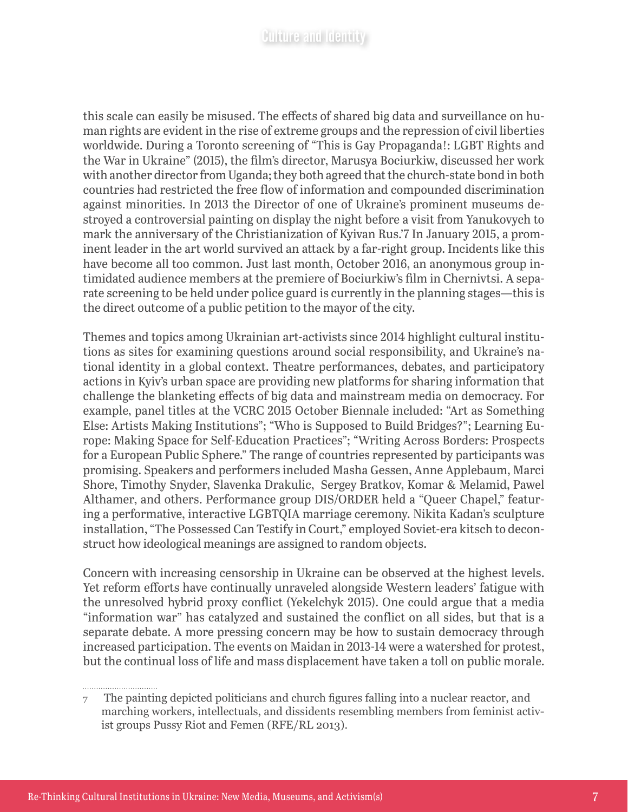this scale can easily be misused. The effects of shared big data and surveillance on human rights are evident in the rise of extreme groups and the repression of civil liberties worldwide. During a Toronto screening of "This is Gay Propaganda!: LGBT Rights and the War in Ukraine" (2015), the film's director, Marusya Bociurkiw, discussed her work with another director from Uganda; they both agreed that the church-state bond in both countries had restricted the free flow of information and compounded discrimination against minorities. In 2013 the Director of one of Ukraine's prominent museums destroyed a controversial painting on display the night before a visit from Yanukovych to mark the anniversary of the Christianization of Kyivan Rus.'7 In January 2015, a prominent leader in the art world survived an attack by a far-right group. Incidents like this have become all too common. Just last month, October 2016, an anonymous group intimidated audience members at the premiere of Bociurkiw's film in Chernivtsi. A separate screening to be held under police guard is currently in the planning stages—this is the direct outcome of a public petition to the mayor of the city.

Themes and topics among Ukrainian art-activists since 2014 highlight cultural institutions as sites for examining questions around social responsibility, and Ukraine's national identity in a global context. Theatre performances, debates, and participatory actions in Kyiv's urban space are providing new platforms for sharing information that challenge the blanketing effects of big data and mainstream media on democracy. For example, panel titles at the VCRC 2015 October Biennale included: "Art as Something Else: Artists Making Institutions"; "Who is Supposed to Build Bridges?"; Learning Europe: Making Space for Self-Education Practices"; "Writing Across Borders: Prospects for a European Public Sphere." The range of countries represented by participants was promising. Speakers and performers included Masha Gessen, Anne Applebaum, Marci Shore, Timothy Snyder, Slavenka Drakulic, Sergey Bratkov, Komar & Melamid, Pawel Althamer, and others. Performance group DIS/ORDER held a "Queer Chapel," featuring a performative, interactive LGBTQIA marriage ceremony. Nikita Kadan's sculpture installation, "The Possessed Can Testify in Court," employed Soviet-era kitsch to deconstruct how ideological meanings are assigned to random objects.

Concern with increasing censorship in Ukraine can be observed at the highest levels. Yet reform efforts have continually unraveled alongside Western leaders' fatigue with the unresolved hybrid proxy conflict (Yekelchyk 2015). One could argue that a media "information war" has catalyzed and sustained the conflict on all sides, but that is a separate debate. A more pressing concern may be how to sustain democracy through increased participation. The events on Maidan in 2013-14 were a watershed for protest, but the continual loss of life and mass displacement have taken a toll on public morale.

<sup>7</sup> The painting depicted politicians and church figures falling into a nuclear reactor, and marching workers, intellectuals, and dissidents resembling members from feminist activist groups Pussy Riot and Femen (RFE/RL 2013).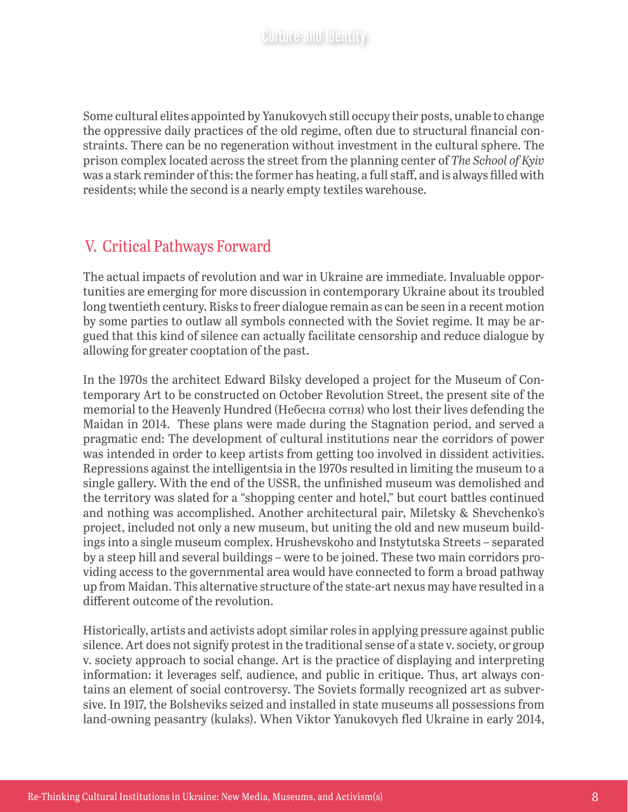Some cultural elites appointed by Yanukovych still occupy their posts, unable to change the oppressive daily practices of the old regime, often due to structural financial constraints. There can be no regeneration without investment in the cultural sphere. The prison complex located across the street from the planning center of *The School of Kyiv*  was a stark reminder of this: the former has heating, a full staff, and is always filled with residents; while the second is a nearly empty textiles warehouse.

#### V. Critical Pathways Forward

The actual impacts of revolution and war in Ukraine are immediate. Invaluable opportunities are emerging for more discussion in contemporary Ukraine about its troubled long twentieth century. Risks to freer dialogue remain as can be seen in a recent motion by some parties to outlaw all symbols connected with the Soviet regime. It may be argued that this kind of silence can actually facilitate censorship and reduce dialogue by allowing for greater cooptation of the past.

In the 1970s the architect Edward Bilsky developed a project for the Museum of Contemporary Art to be constructed on October Revolution Street, the present site of the memorial to the Heavenly Hundred (Небесна сотня) who lost their lives defending the Maidan in 2014. These plans were made during the Stagnation period, and served a pragmatic end: The development of cultural institutions near the corridors of power was intended in order to keep artists from getting too involved in dissident activities. Repressions against the intelligentsia in the 1970s resulted in limiting the museum to a single gallery. With the end of the USSR, the unfinished museum was demolished and the territory was slated for a "shopping center and hotel," but court battles continued and nothing was accomplished. Another architectural pair, Miletsky & Shevchenko's project, included not only a new museum, but uniting the old and new museum buildings into a single museum complex. Hrushevskoho and Instytutska Streets – separated by a steep hill and several buildings – were to be joined. These two main corridors providing access to the governmental area would have connected to form a broad pathway up from Maidan. This alternative structure of the state-art nexus may have resulted in a different outcome of the revolution.

Historically, artists and activists adopt similar roles in applying pressure against public silence. Art does not signify protest in the traditional sense of a state v. society, or group v. society approach to social change. Art is the practice of displaying and interpreting information: it leverages self, audience, and public in critique. Thus, art always contains an element of social controversy. The Soviets formally recognized art as subversive. In 1917, the Bolsheviks seized and installed in state museums all possessions from land-owning peasantry (kulaks). When Viktor Yanukovych fled Ukraine in early 2014,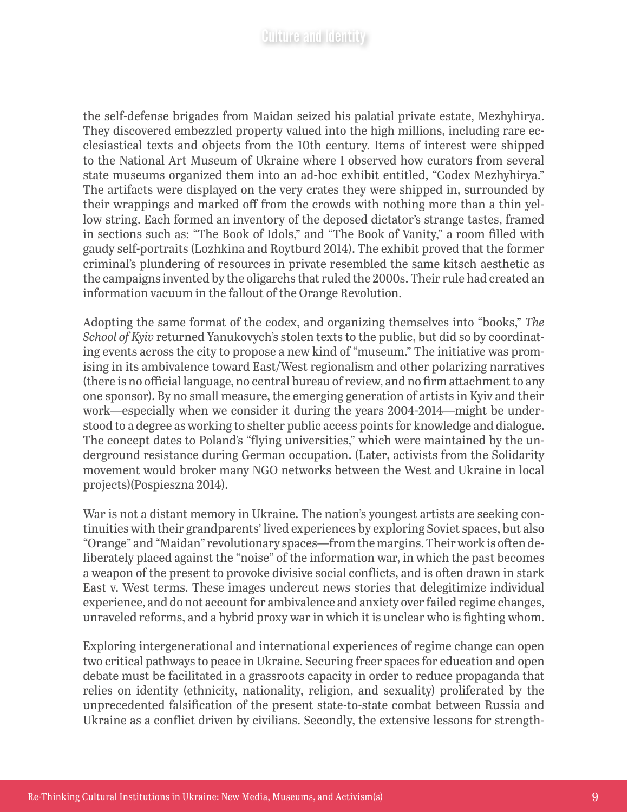the self-defense brigades from Maidan seized his palatial private estate, Mezhyhirya. They discovered embezzled property valued into the high millions, including rare ecclesiastical texts and objects from the 10th century. Items of interest were shipped to the National Art Museum of Ukraine where I observed how curators from several state museums organized them into an ad-hoc exhibit entitled, "Codex Mezhyhirya." The artifacts were displayed on the very crates they were shipped in, surrounded by their wrappings and marked off from the crowds with nothing more than a thin yellow string. Each formed an inventory of the deposed dictator's strange tastes, framed in sections such as: "The Book of Idols," and "The Book of Vanity," a room filled with gaudy self-portraits (Lozhkina and Roytburd 2014). The exhibit proved that the former criminal's plundering of resources in private resembled the same kitsch aesthetic as the campaigns invented by the oligarchs that ruled the 2000s. Their rule had created an information vacuum in the fallout of the Orange Revolution.

Adopting the same format of the codex, and organizing themselves into "books," *The School of Kyiv* returned Yanukovych's stolen texts to the public, but did so by coordinating events across the city to propose a new kind of "museum." The initiative was promising in its ambivalence toward East/West regionalism and other polarizing narratives (there is no official language, no central bureau of review, and no firm attachment to any one sponsor). By no small measure, the emerging generation of artists in Kyiv and their work—especially when we consider it during the years 2004-2014—might be understood to a degree as working to shelter public access points for knowledge and dialogue. The concept dates to Poland's "flying universities," which were maintained by the underground resistance during German occupation. (Later, activists from the Solidarity movement would broker many NGO networks between the West and Ukraine in local projects)(Pospieszna 2014).

War is not a distant memory in Ukraine. The nation's youngest artists are seeking continuities with their grandparents' lived experiences by exploring Soviet spaces, but also "Orange" and "Maidan" revolutionary spaces—from the margins. Their work is often deliberately placed against the "noise" of the information war, in which the past becomes a weapon of the present to provoke divisive social conflicts, and is often drawn in stark East v. West terms. These images undercut news stories that delegitimize individual experience, and do not account for ambivalence and anxiety over failed regime changes, unraveled reforms, and a hybrid proxy war in which it is unclear who is fighting whom.

Exploring intergenerational and international experiences of regime change can open two critical pathways to peace in Ukraine. Securing freer spaces for education and open debate must be facilitated in a grassroots capacity in order to reduce propaganda that relies on identity (ethnicity, nationality, religion, and sexuality) proliferated by the unprecedented falsification of the present state-to-state combat between Russia and Ukraine as a conflict driven by civilians. Secondly, the extensive lessons for strength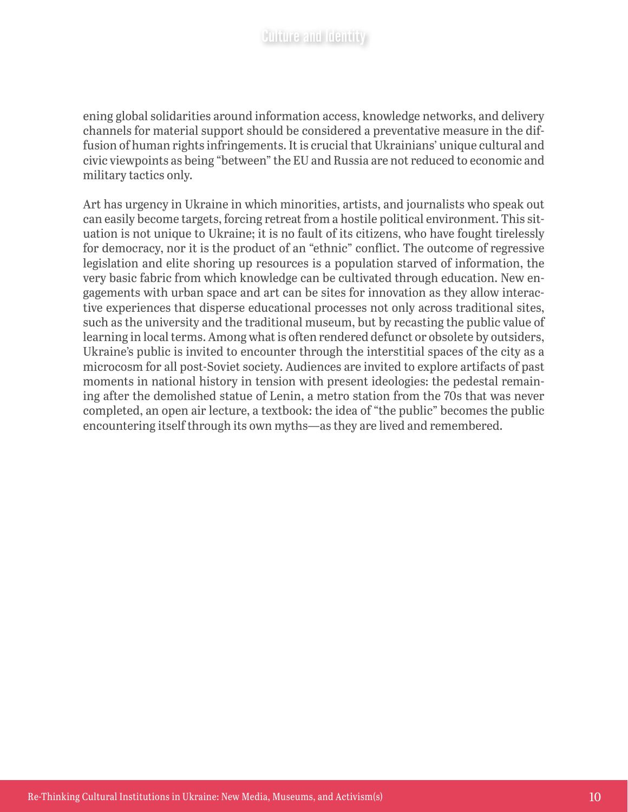ening global solidarities around information access, knowledge networks, and delivery channels for material support should be considered a preventative measure in the diffusion of human rights infringements. It is crucial that Ukrainians' unique cultural and civic viewpoints as being "between" the EU and Russia are not reduced to economic and military tactics only.

Art has urgency in Ukraine in which minorities, artists, and journalists who speak out can easily become targets, forcing retreat from a hostile political environment. This situation is not unique to Ukraine; it is no fault of its citizens, who have fought tirelessly for democracy, nor it is the product of an "ethnic" conflict. The outcome of regressive legislation and elite shoring up resources is a population starved of information, the very basic fabric from which knowledge can be cultivated through education. New engagements with urban space and art can be sites for innovation as they allow interactive experiences that disperse educational processes not only across traditional sites, such as the university and the traditional museum, but by recasting the public value of learning in local terms. Among what is often rendered defunct or obsolete by outsiders, Ukraine's public is invited to encounter through the interstitial spaces of the city as a microcosm for all post-Soviet society. Audiences are invited to explore artifacts of past moments in national history in tension with present ideologies: the pedestal remaining after the demolished statue of Lenin, a metro station from the 70s that was never completed, an open air lecture, a textbook: the idea of "the public" becomes the public encountering itself through its own myths—as they are lived and remembered.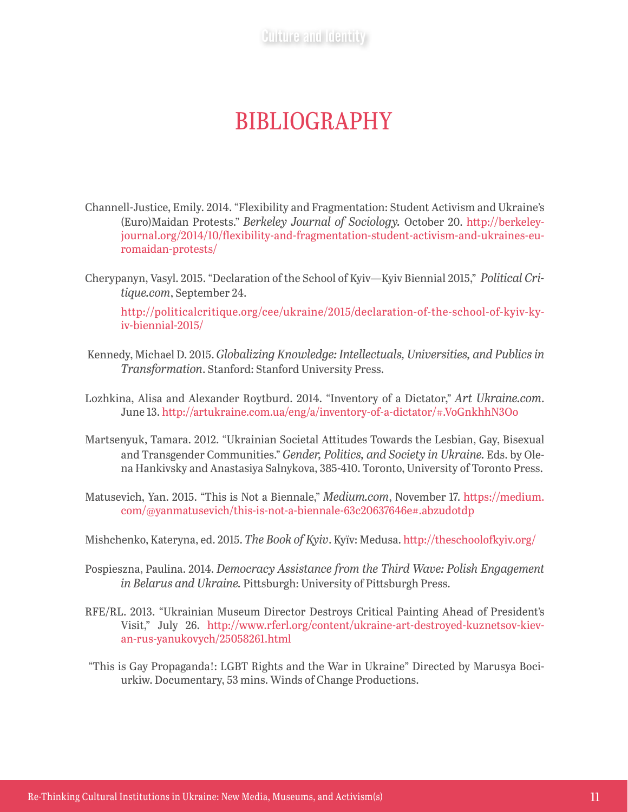### BIBLIOGRAPHY

- Channell-Justice, Emily. 2014. "Flexibility and Fragmentation: Student Activism and Ukraine's (Euro)Maidan Protests." *Berkeley Journal of Sociology.* October 20. [http://berkeley](http://berkeleyjournal.org/2014/10/flexibility-and-fragmentation-student-activism-and-ukraines-euromaidan-protests/)[journal.org/2014/10/flexibility-and-fragmentation-student-activism-and-ukraines-eu](http://berkeleyjournal.org/2014/10/flexibility-and-fragmentation-student-activism-and-ukraines-euromaidan-protests/)[romaidan-protests/](http://berkeleyjournal.org/2014/10/flexibility-and-fragmentation-student-activism-and-ukraines-euromaidan-protests/)
- Cherypanyn, Vasyl. 2015. "Declaration of the School of Kyiv—Kyiv Biennial 2015," *Political Critique.com*, September 24.

[http://politicalcritique.org/cee/ukraine/2015/declaration-of-the-school-of-kyiv-ky](http://politicalcritique.org/cee/ukraine/2015/declaration-of-the-school-of-kyiv-kyiv-biennial-2015/)[iv-biennial-2015/](http://politicalcritique.org/cee/ukraine/2015/declaration-of-the-school-of-kyiv-kyiv-biennial-2015/)

- Kennedy, Michael D. 2015. *Globalizing Knowledge: Intellectuals, Universities, and Publics in Transformation*. Stanford: Stanford University Press.
- Lozhkina, Alisa and Alexander Roytburd. 2014. "Inventory of a Dictator," *Art Ukraine.com*. June 13.<http://artukraine.com.ua/eng/a/inventory-of-a-dictator/#.VoGnkhhN3Oo>
- Martsenyuk, Tamara. 2012. "Ukrainian Societal Attitudes Towards the Lesbian, Gay, Bisexual and Transgender Communities." *Gender, Politics, and Society in Ukraine.* Eds. by Olena Hankivsky and Anastasiya Salnykova, 385-410. Toronto, University of Toronto Press.
- Matusevich, Yan. 2015. "This is Not a Biennale," *Medium.com*, November 17. [https://medium.](https://medium.com/@yanmatusevich/this-is-not-a-biennale-63c20637646e#.abzudotdp) [com/@yanmatusevich/this-is-not-a-biennale-63c20637646e#.abzudotdp](https://medium.com/@yanmatusevich/this-is-not-a-biennale-63c20637646e#.abzudotdp)

Mishchenko, Kateryna, ed. 2015. *The Book of Kyiv*. Kyïv: Medusa.<http://theschoolofkyiv.org/>

- Pospieszna, Paulina. 2014. *Democracy Assistance from the Third Wave: Polish Engagement in Belarus and Ukraine.* Pittsburgh: University of Pittsburgh Press.
- RFE/RL. 2013. "Ukrainian Museum Director Destroys Critical Painting Ahead of President's Visit," July 26. [http://www.rferl.org/content/ukraine-art-destroyed-kuznetsov-kiev](http://www.rferl.org/content/ukraine-art-destroyed-kuznetsov-kievan-rus-yanukovych/25058261.html)[an-rus-yanukovych/25058261.html](http://www.rferl.org/content/ukraine-art-destroyed-kuznetsov-kievan-rus-yanukovych/25058261.html)
- "This is Gay Propaganda!: LGBT Rights and the War in Ukraine" Directed by Marusya Bociurkiw. Documentary, 53 mins. Winds of Change Productions.